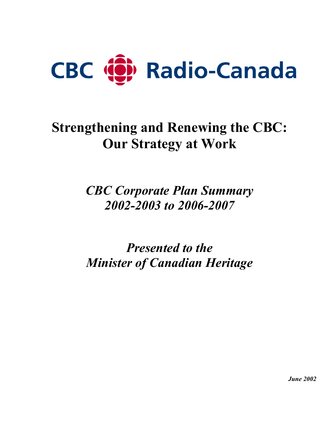

## **Strengthening and Renewing the CBC: Our Strategy at Work**

*CBC Corporate Plan Summary 2002-2003 to 2006-2007* 

*Presented to the Minister of Canadian Heritage* 

*June 2002*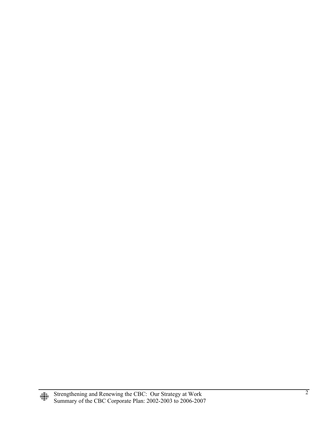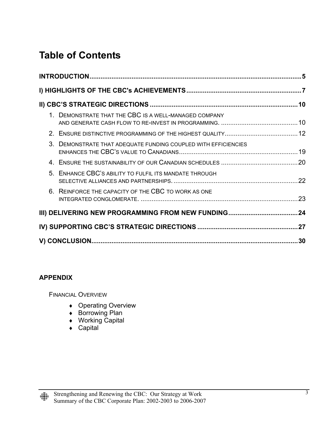## **Table of Contents**

| 1. DEMONSTRATE THAT THE CBC IS A WELL-MANAGED COMPANY          |  |
|----------------------------------------------------------------|--|
|                                                                |  |
| 3. DEMONSTRATE THAT ADEQUATE FUNDING COUPLED WITH EFFICIENCIES |  |
|                                                                |  |
| 5. ENHANCE CBC'S ABILITY TO FULFIL ITS MANDATE THROUGH         |  |
| 6. REINFORCE THE CAPACITY OF THE CBC TO WORK AS ONE            |  |
|                                                                |  |
|                                                                |  |
|                                                                |  |

## **APPENDIX**

FINANCIAL OVERVIEW

- ◆ Operating Overview
- ◆ Borrowing Plan
- ♦ Working Capital
- ♦ Capital

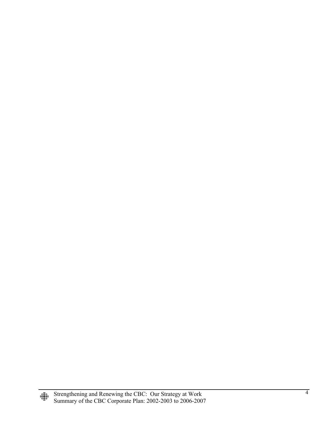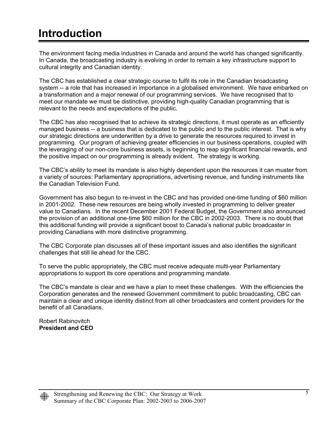## **Introduction**

The environment facing media industries in Canada and around the world has changed significantly. In Canada, the broadcasting industry is evolving in order to remain a key infrastructure support to cultural integrity and Canadian identity.

The CBC has established a clear strategic course to fulfil its role in the Canadian broadcasting system -- a role that has increased in importance in a globalised environment. We have embarked on a transformation and a major renewal of our programming services. We have recognised that to meet our mandate we must be distinctive, providing high-quality Canadian programming that is relevant to the needs and expectations of the public.

The CBC has also recognised that to achieve its strategic directions, it must operate as an efficiently managed business -- a business that is dedicated to the public and to the public interest. That is why our strategic directions are underwritten by a drive to generate the resources required to invest in programming. Our program of achieving greater efficiencies in our business operations, coupled with the leveraging of our non-core business assets, is beginning to reap significant financial rewards, and the positive impact on our programming is already evident. The strategy is working.

The CBC's ability to meet its mandate is also highly dependent upon the resources it can muster from a variety of sources: Parliamentary appropriations, advertising revenue, and funding instruments like the Canadian Television Fund.

Government has also begun to re-invest in the CBC and has provided one-time funding of \$60 million in 2001-2002. These new resources are being wholly invested in programming to deliver greater value to Canadians. In the recent December 2001 Federal Budget, the Government also announced the provision of an additional one-time \$60 million for the CBC in 2002-2003. There is no doubt that this additional funding will provide a significant boost to Canada's national public broadcaster in providing Canadians with more distinctive programming.

The CBC Corporate plan discusses all of these important issues and also identifies the significant challenges that still lie ahead for the CBC.

To serve the public appropriately, the CBC must receive adequate multi-year Parliamentary appropriations to support its core operations and programming mandate.

The CBC's mandate is clear and we have a plan to meet these challenges. With the efficiencies the Corporation generates and the renewed Government commitment to public broadcasting, CBC can maintain a clear and unique identity distinct from all other broadcasters and content providers for the benefit of all Canadians.

Robert Rabinovitch **President and CEO** 

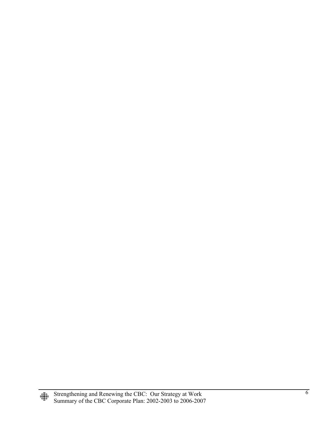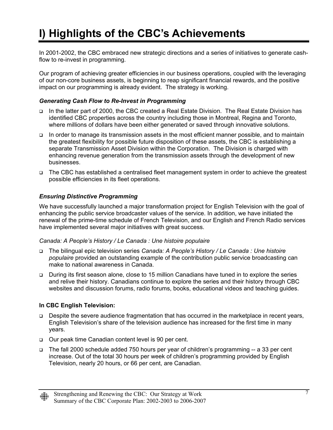## **I) Highlights of the CBC's Achievements**

In 2001-2002, the CBC embraced new strategic directions and a series of initiatives to generate cashflow to re-invest in programming.

Our program of achieving greater efficiencies in our business operations, coupled with the leveraging of our non-core business assets, is beginning to reap significant financial rewards, and the positive impact on our programming is already evident. The strategy is working.

### *Generating Cash Flow to Re-Invest in Programming*

- In the latter part of 2000, the CBC created a Real Estate Division. The Real Estate Division has identified CBC properties across the country including those in Montreal, Regina and Toronto, where millions of dollars have been either generated or saved through innovative solutions.
- In order to manage its transmission assets in the most efficient manner possible, and to maintain the greatest flexibility for possible future disposition of these assets, the CBC is establishing a separate Transmission Asset Division within the Corporation. The Division is charged with enhancing revenue generation from the transmission assets through the development of new businesses.
- The CBC has established a centralised fleet management system in order to achieve the greatest possible efficiencies in its fleet operations.

## *Ensuring Distinctive Programming*

We have successfully launched a major transformation project for English Television with the goal of enhancing the public service broadcaster values of the service. In addition, we have initiated the renewal of the prime-time schedule of French Television, and our English and French Radio services have implemented several major initiatives with great success.

#### *Canada: A People's History / Le Canada : Une histoire populaire*

- The bilingual epic television series *Canada: A People's History / Le Canada : Une histoire populaire* provided an outstanding example of the contribution public service broadcasting can make to national awareness in Canada.
- During its first season alone, close to 15 million Canadians have tuned in to explore the series and relive their history. Canadians continue to explore the series and their history through CBC websites and discussion forums, radio forums, books, educational videos and teaching guides.

### **In CBC English Television:**

- Despite the severe audience fragmentation that has occurred in the marketplace in recent years, English Television's share of the television audience has increased for the first time in many years.
- Our peak time Canadian content level is 90 per cent.
- The fall 2000 schedule added 750 hours per year of children's programming -- a 33 per cent increase. Out of the total 30 hours per week of children's programming provided by English Television, nearly 20 hours, or 66 per cent, are Canadian.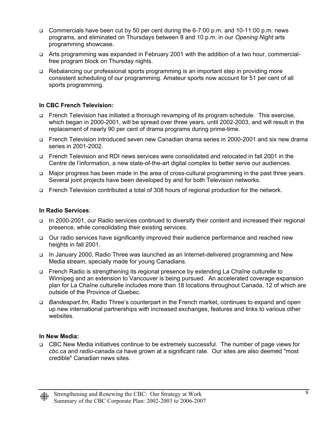- Commercials have been cut by 50 per cent during the 6-7:00 p.m. and 10-11:00 p.m. news programs, and eliminated on Thursdays between 8 and 10 p.m. in our *Opening Night* arts programming showcase.
- Arts programming was expanded in February 2001 with the addition of a two hour, commercialfree program block on Thursday nights.
- Rebalancing our professional sports programming is an important step in providing more consistent scheduling of our programming. Amateur sports now account for 51 per cent of all sports programming.

#### **In CBC French Television:**

- French Television has initiated a thorough revamping of its program schedule. This exercise, which began in 2000-2001, will be spread over three years, until 2002-2003, and will result in the replacement of nearly 90 per cent of drama programs during prime-time.
- French Television introduced seven new Canadian drama series in 2000-2001 and six new drama series in 2001-2002.
- French Television and RDI news services were consolidated and relocated in fall 2001 in the Centre de l'information, a new state-of-the-art digital complex to better serve our audiences.
- Major progress has been made in the area of cross-cultural programming in the past three years. Several joint projects have been developed by and for both Television networks.
- French Television contributed a total of 308 hours of regional production for the network.

#### **In Radio Services**:

- In 2000-2001, our Radio services continued to diversify their content and increased their regional presence, while consolidating their existing services.
- Our radio services have significantly improved their audience performance and reached new heights in fall 2001.
- In January 2000, Radio Three was launched as an Internet-delivered programming and New Media stream, specially made for young Canadians.
- □ French Radio is strengthening its regional presence by extending La Chaîne culturelle to Winnipeg and an extension to Vancouver is being pursued. An accelerated coverage expansion plan for La Chaîne culturelle includes more than 18 locations throughout Canada, 12 of which are outside of the Province of Quebec.
- *Bandeapart.fm*, Radio Three's counterpart in the French market, continues to expand and open up new international partnerships with increased exchanges, features and links to various other websites.

#### **In New Media:**

 CBC New Media initiatives continue to be extremely successful. The number of page views for *cbc.ca* and *radio-canada.ca* have grown at a significant rate. Our sites are also deemed "most credible" Canadian news sites.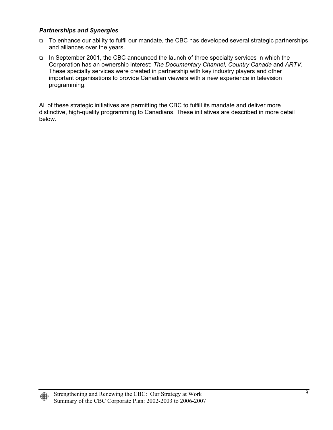#### *Partnerships and Synergies*

- □ To enhance our ability to fulfil our mandate, the CBC has developed several strategic partnerships and alliances over the years.
- In September 2001, the CBC announced the launch of three specialty services in which the Corporation has an ownership interest: *The Documentary Channel, Country Canada* and *ARTV*. These specialty services were created in partnership with key industry players and other important organisations to provide Canadian viewers with a new experience in television programming.

All of these strategic initiatives are permitting the CBC to fulfill its mandate and deliver more distinctive, high-quality programming to Canadians. These initiatives are described in more detail below.

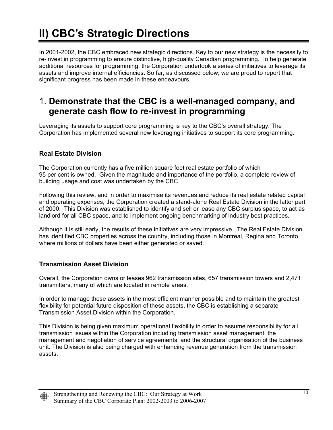## **II) CBC's Strategic Directions**

In 2001-2002, the CBC embraced new strategic directions. Key to our new strategy is the necessity to re-invest in programming to ensure distinctive, high-quality Canadian programming. To help generate additional resources for programming, the Corporation undertook a series of initiatives to leverage its assets and improve internal efficiencies. So far, as discussed below, we are proud to report that significant progress has been made in these endeavours.

## 1. **Demonstrate that the CBC is a well-managed company, and generate cash flow to re-invest in programming**

Leveraging its assets to support core programming is key to the CBC's overall strategy. The Corporation has implemented several new leveraging initiatives to support its core programming.

## **Real Estate Division**

The Corporation currently has a five million square feet real estate portfolio of which 95 per cent is owned. Given the magnitude and importance of the portfolio, a complete review of building usage and cost was undertaken by the CBC.

Following this review, and in order to maximise its revenues and reduce its real estate related capital and operating expenses, the Corporation created a stand-alone Real Estate Division in the latter part of 2000. This Division was established to identify and sell or lease any CBC surplus space, to act as landlord for all CBC space, and to implement ongoing benchmarking of industry best practices.

Although it is still early, the results of these initiatives are very impressive. The Real Estate Division has identified CBC properties across the country, including those in Montreal, Regina and Toronto, where millions of dollars have been either generated or saved.

## **Transmission Asset Division**

Overall, the Corporation owns or leases 962 transmission sites, 657 transmission towers and 2,471 transmitters, many of which are located in remote areas.

In order to manage these assets in the most efficient manner possible and to maintain the greatest flexibility for potential future disposition of these assets, the CBC is establishing a separate Transmission Asset Division within the Corporation.

This Division is being given maximum operational flexibility in order to assume responsibility for all transmission issues within the Corporation including transmission asset management, the management and negotiation of service agreements, and the structural organisation of the business unit. The Division is also being charged with enhancing revenue generation from the transmission assets.

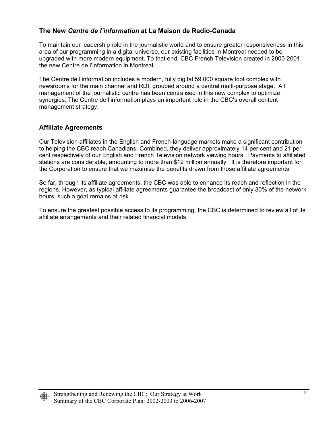## **The New** *Centre de l'information* **at La Maison de Radio-Canada**

To maintain our leadership role in the journalistic world and to ensure greater responsiveness in this area of our programming in a digital universe, our existing facilities in Montreal needed to be upgraded with more modern equipment. To that end, CBC French Television created in 2000-2001 the new Centre de l'information in Montreal.

The Centre de l'information includes a modern, fully digital 59,000 square foot complex with newsrooms for the main channel and RDI, grouped around a central multi-purpose stage. All management of the journalistic centre has been centralised in this new complex to optimize synergies. The Centre de l'information plays an important role in the CBC's overall content management strategy.

## **Affiliate Agreements**

Our Television affiliates in the English and French-language markets make a significant contribution to helping the CBC reach Canadians. Combined, they deliver approximately 14 per cent and 21 per cent respectively of our English and French Television network viewing hours. Payments to affiliated stations are considerable, amounting to more than \$12 million annually. It is therefore important for the Corporation to ensure that we maximise the benefits drawn from those affiliate agreements.

So far, through its affiliate agreements, the CBC was able to enhance its reach and reflection in the regions. However, as typical affiliate agreements guarantee the broadcast of only 30% of the network hours, such a goal remains at risk.

To ensure the greatest possible access to its programming, the CBC is determined to review all of its affiliate arrangements and their related financial models.

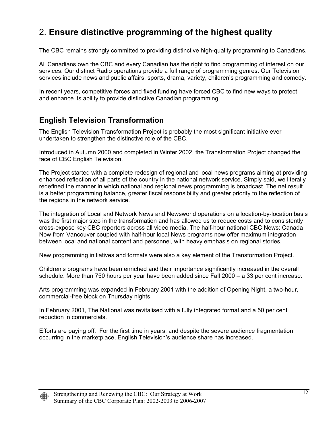## 2. **Ensure distinctive programming of the highest quality**

The CBC remains strongly committed to providing distinctive high-quality programming to Canadians.

All Canadians own the CBC and every Canadian has the right to find programming of interest on our services. Our distinct Radio operations provide a full range of programming genres. Our Television services include news and public affairs, sports, drama, variety, children's programming and comedy.

In recent years, competitive forces and fixed funding have forced CBC to find new ways to protect and enhance its ability to provide distinctive Canadian programming.

## **English Television Transformation**

The English Television Transformation Project is probably the most significant initiative ever undertaken to strengthen the distinctive role of the CBC.

Introduced in Autumn 2000 and completed in Winter 2002, the Transformation Project changed the face of CBC English Television.

The Project started with a complete redesign of regional and local news programs aiming at providing enhanced reflection of all parts of the country in the national network service. Simply said, we literally redefined the manner in which national and regional news programming is broadcast. The net result is a better programming balance, greater fiscal responsibility and greater priority to the reflection of the regions in the network service.

The integration of Local and Network News and Newsworld operations on a location-by-location basis was the first major step in the transformation and has allowed us to reduce costs and to consistently cross-expose key CBC reporters across all video media. The half-hour national CBC News: Canada Now from Vancouver coupled with half-hour local News programs now offer maximum integration between local and national content and personnel, with heavy emphasis on regional stories.

New programming initiatives and formats were also a key element of the Transformation Project.

Children's programs have been enriched and their importance significantly increased in the overall schedule. More than 750 hours per year have been added since Fall 2000 – a 33 per cent increase.

Arts programming was expanded in February 2001 with the addition of Opening Night, a two-hour, commercial-free block on Thursday nights.

In February 2001, The National was revitalised with a fully integrated format and a 50 per cent reduction in commercials.

Efforts are paying off. For the first time in years, and despite the severe audience fragmentation occurring in the marketplace, English Television's audience share has increased.

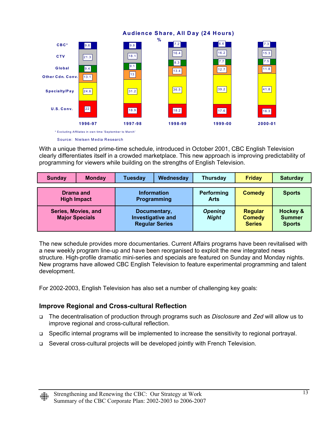



With a unique themed prime-time schedule, introduced in October 2001, CBC English Television clearly differentiates itself in a crowded marketplace. This new approach is improving predictability of programming for viewers while building on the strengths of English Television.

| <b>Sunday</b>                                | <b>Monday</b>      | <b>Tuesday</b> | Wednesday                                                         | <b>Thursday</b>                | <b>Friday</b>                                    | <b>Saturday</b>                                       |
|----------------------------------------------|--------------------|----------------|-------------------------------------------------------------------|--------------------------------|--------------------------------------------------|-------------------------------------------------------|
| Drama and                                    | <b>High Impact</b> |                | <b>Information</b><br>Programming                                 | Performing<br><b>Arts</b>      | <b>Comedy</b>                                    | <b>Sports</b>                                         |
| Series, Movies, and<br><b>Major Specials</b> |                    |                | Documentary,<br><b>Investigative and</b><br><b>Regular Series</b> | <b>Opening</b><br><b>Night</b> | <b>Regular</b><br><b>Comedy</b><br><b>Series</b> | <b>Hockey &amp;</b><br><b>Summer</b><br><b>Sports</b> |

The new schedule provides more documentaries. Current Affairs programs have been revitalised with a new weekly program line-up and have been reorganised to exploit the new integrated news structure. High-profile dramatic mini-series and specials are featured on Sunday and Monday nights. New programs have allowed CBC English Television to feature experimental programming and talent development.

For 2002-2003, English Television has also set a number of challenging key goals:

## **Improve Regional and Cross-cultural Reflection**

- The decentralisation of production through programs such as *Disclosure* and *Zed* will allow us to improve regional and cross-cultural reflection.
- Specific internal programs will be implemented to increase the sensitivity to regional portrayal.
- Several cross-cultural projects will be developed jointly with French Television.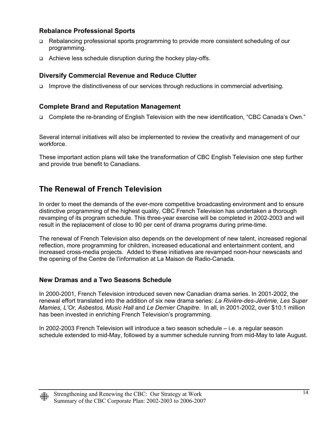## **Rebalance Professional Sports**

- Rebalancing professional sports programming to provide more consistent scheduling of our programming.
- $\Box$  Achieve less schedule disruption during the hockey play-offs.

## **Diversify Commercial Revenue and Reduce Clutter**

Improve the distinctiveness of our services through reductions in commercial advertising.

## **Complete Brand and Reputation Management**

Complete the re-branding of English Television with the new identification, "CBC Canada's Own."

Several internal initiatives will also be implemented to review the creativity and management of our workforce.

These important action plans will take the transformation of CBC English Television one step further and provide true benefit to Canadians.

## **The Renewal of French Television**

In order to meet the demands of the ever-more competitive broadcasting environment and to ensure distinctive programming of the highest quality, CBC French Television has undertaken a thorough revamping of its program schedule. This three-year exercise will be completed in 2002-2003 and will result in the replacement of close to 90 per cent of drama programs during prime-time.

The renewal of French Television also depends on the development of new talent, increased regional reflection, more programming for children, increased educational and entertainment content, and increased cross-media projects. Added to these initiatives are revamped noon-hour newscasts and the opening of the Centre de l'information at La Maison de Radio-Canada.

## **New Dramas and a Two Seasons Schedule**

In 2000-2001, French Television introduced seven new Canadian drama series. In 2001-2002, the renewal effort translated into the addition of six new drama series: *La Rivière-des-Jérémie, Les Super Mamies, L'Or, Asbestos, Music Hall* and *Le Dernier Chapitre*. In all, in 2001-2002, over \$10.1 million has been invested in enriching French Television's programming.

In 2002-2003 French Television will introduce a two season schedule – i.e. a regular season schedule extended to mid-May, followed by a summer schedule running from mid-May to late August.

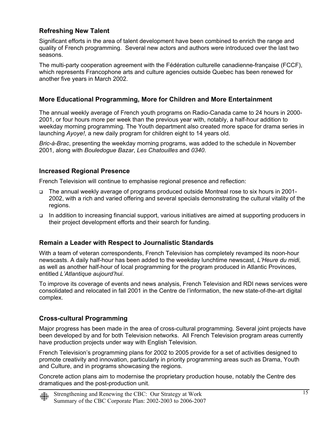## **Refreshing New Talent**

Significant efforts in the area of talent development have been combined to enrich the range and quality of French programming. Several new actors and authors were introduced over the last two seasons.

The multi-party cooperation agreement with the Fédération culturelle canadienne-française (FCCF), which represents Francophone arts and culture agencies outside Quebec has been renewed for another five years in March 2002.

## **More Educational Programming, More for Children and More Entertainment**

The annual weekly average of French youth programs on Radio-Canada came to 24 hours in 2000- 2001, or four hours more per week than the previous year with, notably, a half-hour addition to weekday morning programming. The Youth department also created more space for drama series in launching *Ayoye!*, a new daily program for children eight to 14 years old.

*Bric-à-Brac*, presenting the weekday morning programs, was added to the schedule in November 2001, along with *Bouledogue Bazar*, *Les Chatouilles* and *0340*.

### **Increased Regional Presence**

French Television will continue to emphasise regional presence and reflection:

- The annual weekly average of programs produced outside Montreal rose to six hours in 2001- 2002, with a rich and varied offering and several specials demonstrating the cultural vitality of the regions.
- In addition to increasing financial support, various initiatives are aimed at supporting producers in their project development efforts and their search for funding.

### **Remain a Leader with Respect to Journalistic Standards**

With a team of veteran correspondents, French Television has completely revamped its noon-hour newscasts. A daily half-hour has been added to the weekday lunchtime newscast, *L'Heure du midi,* as well as another half-hour of local programming for the program produced in Atlantic Provinces, entitled *L'Atlantique aujourd'hui*.

To improve its coverage of events and news analysis, French Television and RDI news services were consolidated and relocated in fall 2001 in the Centre de l'information, the new state-of-the-art digital complex.

## **Cross-cultural Programming**

Major progress has been made in the area of cross-cultural programming. Several joint projects have been developed by and for both Television networks. All French Television program areas currently have production projects under way with English Television.

French Television's programming plans for 2002 to 2005 provide for a set of activities designed to promote creativity and innovation, particularly in priority programming areas such as Drama, Youth and Culture, and in programs showcasing the regions.

Concrete action plans aim to modernise the proprietary production house, notably the Centre des dramatiques and the post-production unit.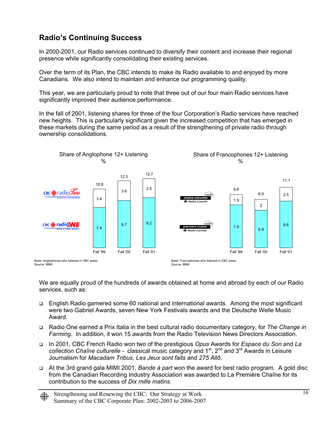## **Radio's Continuing Success**

In 2000-2001, our Radio services continued to diversify their content and increase their regional presence while significantly consolidating their existing services.

Over the term of its Plan, the CBC intends to make its Radio available to and enjoyed by more Canadians. We also intend to maintain and enhance our programming quality.

This year, we are particularly proud to note that three out of our four main Radio services have significantly improved their audience performance.

In the fall of 2001, listening shares for three of the four Corporation's Radio services have reached new heights. This is particularly significant given the increased competition that has emerged in these markets during the same period as a result of the strengthening of private radio through ownership consolidations.



We are equally proud of the hundreds of awards obtained at home and abroad by each of our Radio services, such as:

- English Radio garnered some 60 national and international awards. Among the most significant were two Gabriel Awards, seven New York Festivals awards and the Deutsche Welle Music Award.
- Radio One earned a Prix Italia in the best cultural radio documentary category, for *The Change in Farming*. In addition, it won 15 awards from the Radio Television News Directors Association.
- In 2001, CBC French Radio won two of the prestigious *Opus* Awards for *Espace du Son* and *La*  collection Chaîne culturelle - classical music category and 1<sup>st</sup>, 2<sup>nd</sup> and 3<sup>rd</sup> Awards in Leisure Journalism for *Macadam Tribus*, *Les Jeux sont faits* and *275 Allô*.
- At the 3rd grand gala MIMI 2001, *Bande à part* won the award for best radio program. A gold disc from the Canadian Recording Industry Association was awarded to La Première Chaîne for its contribution to the success of *Dix mille matins*.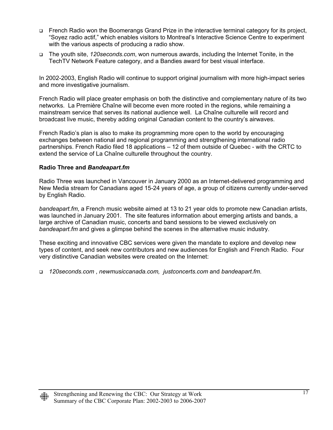- French Radio won the Boomerangs Grand Prize in the interactive terminal category for its project, "Soyez radio actif," which enables visitors to Montreal's Interactive Science Centre to experiment with the various aspects of producing a radio show.
- The youth site, *120seconds.com*, won numerous awards, including the Internet Tonite, in the TechTV Network Feature category, and a Bandies award for best visual interface.

In 2002-2003, English Radio will continue to support original journalism with more high-impact series and more investigative journalism.

French Radio will place greater emphasis on both the distinctive and complementary nature of its two networks. La Première Chaîne will become even more rooted in the regions, while remaining a mainstream service that serves its national audience well. La Chaîne culturelle will record and broadcast live music, thereby adding original Canadian content to the country's airwaves.

French Radio's plan is also to make its programming more open to the world by encouraging exchanges between national and regional programming and strengthening international radio partnerships. French Radio filed 18 applications – 12 of them outside of Quebec - with the CRTC to extend the service of La Chaîne culturelle throughout the country.

#### **Radio Three and** *Bandeapart.fm*

Radio Three was launched in Vancouver in January 2000 as an Internet-delivered programming and New Media stream for Canadians aged 15-24 years of age, a group of citizens currently under-served by English Radio.

*bandeapart.fm*, a French music website aimed at 13 to 21 year olds to promote new Canadian artists, was launched in January 2001. The site features information about emerging artists and bands, a large archive of Canadian music, concerts and band sessions to be viewed exclusively on *bandeapart.fm* and gives a glimpse behind the scenes in the alternative music industry.

These exciting and innovative CBC services were given the mandate to explore and develop new types of content, and seek new contributors and new audiences for English and French Radio. Four very distinctive Canadian websites were created on the Internet:

*120seconds.com* , *newmusiccanada.com, justconcerts.com* and *bandeapart.fm*.

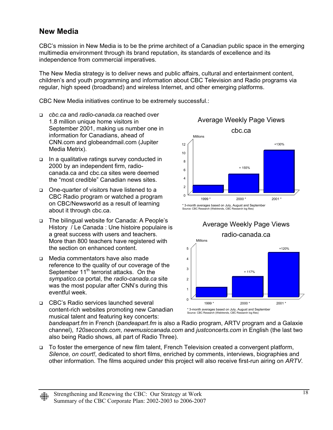## **New Media**

CBC's mission in New Media is to be the prime architect of a Canadian public space in the emerging multimedia environment through its brand reputation, its standards of excellence and its independence from commercial imperatives.

The New Media strategy is to deliver news and public affairs, cultural and entertainment content, children's and youth programming and information about CBC Television and Radio programs via regular, high speed (broadband) and wireless Internet, and other emerging platforms.

CBC New Media initiatives continue to be extremely successful.:

- *cbc.ca* and *radio-canada.ca* reached over 1.8 million unique home visitors in September 2001, making us number one in information for Canadians, ahead of CNN.com and globeandmail.com (Jupiter Media Metrix).
- $\Box$  In a qualitative ratings survey conducted in 2000 by an independent firm, radiocanada.ca and cbc.ca sites were deemed the "most credible" Canadian news sites.
- □ One-quarter of visitors have listened to a CBC Radio program or watched a program on CBC/Newsworld as a result of learning about it through cbc.ca.
- The bilingual website for Canada: A People's History / Le Canada : Une histoire populaire is a great success with users and teachers. More than 800 teachers have registered with the section on enhanced content.
- Media commentators have also made reference to the quality of our coverage of the September 11<sup>th</sup> terrorist attacks. On the *sympatico.ca* portal, the *radio-canada.ca* site was the most popular after CNN's during this eventful week.
- CBC's Radio services launched several content-rich websites promoting new Canadian musical talent and featuring key concerts:



Average Weekly Page Views



*bandeapart.fm* in French (*bandeapart.fm* is also a Radio program, ARTV program and a Galaxie channel), *120seconds.com*, *newmusiccanada.com* and *justconcerts.com* in English (the last two also being Radio shows, all part of Radio Three).

 To foster the emergence of new film talent, French Television created a convergent platform, *Silence, on court!*, dedicated to short films, enriched by comments, interviews, biographies and other information. The films acquired under this project will also receive first-run airing on *ARTV*.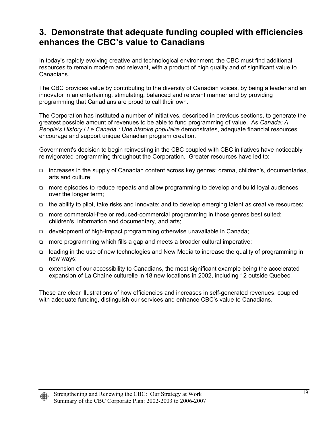## **3. Demonstrate that adequate funding coupled with efficiencies enhances the CBC's value to Canadians**

In today's rapidly evolving creative and technological environment, the CBC must find additional resources to remain modern and relevant, with a product of high quality and of significant value to Canadians.

The CBC provides value by contributing to the diversity of Canadian voices, by being a leader and an innovator in an entertaining, stimulating, balanced and relevant manner and by providing programming that Canadians are proud to call their own.

The Corporation has instituted a number of initiatives, described in previous sections, to generate the greatest possible amount of revenues to be able to fund programming of value. As *Canada: A People's History* / *Le Canada : Une histoire populaire* demonstrates, adequate financial resources encourage and support unique Canadian program creation.

Government's decision to begin reinvesting in the CBC coupled with CBC initiatives have noticeably reinvigorated programming throughout the Corporation. Greater resources have led to:

- increases in the supply of Canadian content across key genres: drama, children's, documentaries, arts and culture;
- more episodes to reduce repeats and allow programming to develop and build loyal audiences over the longer term;
- the ability to pilot, take risks and innovate; and to develop emerging talent as creative resources;
- more commercial-free or reduced-commercial programming in those genres best suited: children's, information and documentary, and arts;
- development of high-impact programming otherwise unavailable in Canada;
- □ more programming which fills a gap and meets a broader cultural imperative;
- leading in the use of new technologies and New Media to increase the quality of programming in new ways;
- extension of our accessibility to Canadians, the most significant example being the accelerated expansion of La Chaîne culturelle in 18 new locations in 2002, including 12 outside Quebec.

These are clear illustrations of how efficiencies and increases in self-generated revenues, coupled with adequate funding, distinguish our services and enhance CBC's value to Canadians.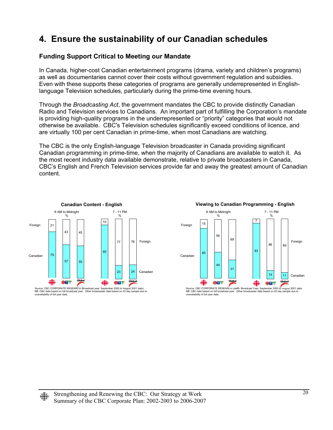## **4. Ensure the sustainability of our Canadian schedules**

## **Funding Support Critical to Meeting our Mandate**

In Canada, higher-cost Canadian entertainment programs (drama, variety and children's programs) as well as documentaries cannot cover their costs without government regulation and subsidies. Even with these supports these categories of programs are generally underrepresented in Englishlanguage Television schedules, particularly during the prime-time evening hours.

Through the *Broadcasting Act*, the government mandates the CBC to provide distinctly Canadian Radio and Television services to Canadians. An important part of fulfilling the Corporation's mandate is providing high-quality programs in the underrepresented or "priority" categories that would not otherwise be available. CBC's Television schedules significantly exceed conditions of licence, and are virtually 100 per cent Canadian in prime-time, when most Canadians are watching.

The CBC is the only English-language Television broadcaster in Canada providing significant Canadian programming in prime-time, when the majority of Canadians are available to watch it. As the most recent industry data available demonstrate, relative to private broadcasters in Canada, CBC's English and French Television services provide far and away the greatest amount of Canadian content.



#### **Viewing to Canadian Programming - English**



NB: CBC data based on full broadcast year. Other broadcaster data based on 42 day sample due to availability of full year data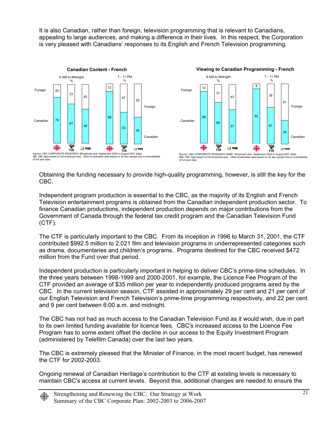It is also Canadian, rather than foreign, television programming that is relevant to Canadians, appealing to large audiences, and making a difference in their lives. In this respect, the Corporation is very pleased with Canadians' responses to its English and French Television programming.



Obtaining the funding necessary to provide high-quality programming, however, is still the key for the CBC.

Independent program production is essential to the CBC, as the majority of its English and French Television entertainment programs is obtained from the Canadian independent production sector. To finance Canadian productions, independent production depends on major contributions from the Government of Canada through the federal tax credit program and the Canadian Television Fund (CTF).

The CTF is particularly important to the CBC. From its inception in 1996 to March 31, 2001, the CTF contributed \$992.5 million to 2,021 film and television programs in underrepresented categories such as drama, documentaries and children's programs. Programs destined for the CBC received \$472 million from the Fund over that period.

Independent production is particularly important in helping to deliver CBC's prime-time schedules. In the three years between 1998-1999 and 2000-2001, for example, the Licence Fee Program of the CTF provided an average of \$35 million per year to independently produced programs aired by the CBC. In the current television season, CTF assisted in approximately 29 per cent and 21 per cent of our English Television and French Television's prime-time programming respectively, and 22 per cent and 9 per cent between 6:00 a.m. and midnight.

The CBC has not had as much access to the Canadian Television Fund as it would wish, due in part to its own limited funding available for licence fees. CBC's increased access to the Licence Fee Program has to some extent offset the decline in our access to the Equity Investment Program (administered by Telefilm Canada) over the last two years.

The CBC is extremely pleased that the Minister of Finance, in the most recent budget, has renewed the CTF for 2002-2003.

Ongoing renewal of Canadian Heritage's contribution to the CTF at existing levels is necessary to maintain CBC's access at current levels. Beyond this, additional changes are needed to ensure the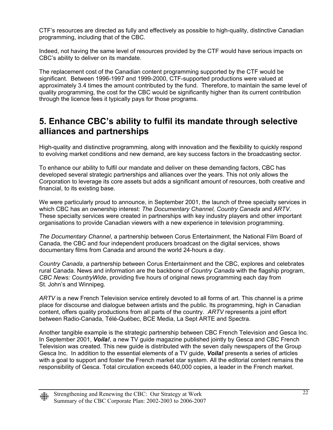CTF's resources are directed as fully and effectively as possible to high-quality, distinctive Canadian programming, including that of the CBC.

Indeed, not having the same level of resources provided by the CTF would have serious impacts on CBC's ability to deliver on its mandate.

The replacement cost of the Canadian content programming supported by the CTF would be significant. Between 1996-1997 and 1999-2000, CTF-supported productions were valued at approximately 3.4 times the amount contributed by the fund. Therefore, to maintain the same level of quality programming, the cost for the CBC would be significantly higher than its current contribution through the licence fees it typically pays for those programs.

## **5. Enhance CBC's ability to fulfil its mandate through selective alliances and partnerships**

High-quality and distinctive programming, along with innovation and the flexibility to quickly respond to evolving market conditions and new demand, are key success factors in the broadcasting sector.

To enhance our ability to fulfil our mandate and deliver on these demanding factors, CBC has developed several strategic partnerships and alliances over the years. This not only allows the Corporation to leverage its core assets but adds a significant amount of resources, both creative and financial, to its existing base.

We were particularly proud to announce, in September 2001, the launch of three specialty services in which CBC has an ownership interest: *The Documentary Channel, Country Canada* and *ARTV*. These specialty services were created in partnerships with key industry players and other important organisations to provide Canadian viewers with a new experience in television programming.

*The Documentary Channel*, a partnership between Corus Entertainment, the National Film Board of Canada, the CBC and four independent producers broadcast on the digital services, shows documentary films from Canada and around the world 24-hours a day.

*Country Canada*, a partnership between Corus Entertainment and the CBC, explores and celebrates rural Canada. News and information are the backbone of *Country Canada* with the flagship program, *CBC News: CountryWide*, providing five hours of original news programming each day from St. John's and Winnipeg.

*ARTV* is a new French Television service entirely devoted to all forms of art. This channel is a prime place for discourse and dialogue between artists and the public. Its programming, high in Canadian content, offers quality productions from all parts of the country. *ARTV* represents a joint effort between Radio-Canada, Télé-Québec, BCE Media, La Sept ARTE and Spectra.

Another tangible example is the strategic partnership between CBC French Television and Gesca Inc. In September 2001, *Voila!*, a new TV guide magazine published jointly by Gesca and CBC French Television was created. This new guide is distributed with the seven daily newspapers of the Group Gesca Inc. In addition to the essential elements of a TV guide, *Voila!* presents a series of articles with a goal to support and foster the French market star system. All the editorial content remains the responsibility of Gesca. Total circulation exceeds 640,000 copies, a leader in the French market.

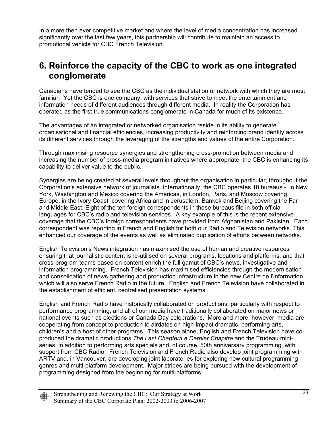In a more then ever competitive market and where the level of media concentration has increased significantly over the last few years, this partnership will contribute to maintain an access to promotional vehicle for CBC French Television.

## **6. Reinforce the capacity of the CBC to work as one integrated conglomerate**

Canadians have tended to see the CBC as the individual station or network with which they are most familiar. Yet the CBC is one company, with services that strive to meet the entertainment and information needs of different audiences through different media. In reality the Corporation has operated as the first true communications conglomerate in Canada for much of its existence.

The advantages of an integrated or networked organisation reside in its ability to generate organisational and financial efficiencies, increasing productivity and reinforcing brand identity across its different services through the leveraging of the strengths and values of the entire Corporation.

Through maximising resource synergies and strengthening cross-promotion between media and increasing the number of cross-media program initiatives where appropriate, the CBC is enhancing its capability to deliver value to the public.

Synergies are being created at several levels throughout the organisation in particular, throughout the Corporation's extensive network of journalists. Internationally, the CBC operates 10 bureaus - in New York, Washington and Mexico covering the Americas, in London, Paris, and Moscow covering Europe, in the Ivory Coast, covering Africa and in Jerusalem, Bankok and Beijing covering the Far and Middle East. Eight of the ten foreign correspondents in these bureaus file in both official languages for CBC's radio and television services. A key example of this is the recent extensive coverage that the CBC's foreign correspondents have provided from Afghanistan and Pakistan. Each correspondent was reporting in French and English for both our Radio and Television networks. This enhanced our coverage of the events as well as eliminated duplication of efforts between networks.

English Television's News integration has maximised the use of human and creative resources ensuring that journalistic content is re-utilised on several programs, locations and platforms, and that cross-program teams based on content enrich the full gamut of CBC's news, investigative and information programming. French Television has maximised efficiencies through the modernisation and consolidation of news gathering and production infrastructure in the new Centre de l'information, which will also serve French Radio in the future. English and French Television have collaborated in the establishment of efficient, centralised presentation systems.

English and French Radio have historically collaborated on productions, particularly with respect to performance programming, and all of our media have traditionally collaborated on major news or national events such as elections or Canada Day celebrations. More and more, however, media are cooperating from concept to production to airdates on high-impact dramatic, performing arts, children's and a host of other programs. This season alone, English and French Television have coproduced the dramatic productions *The Last Chapter/Le Dernier Chapitre* and the Trudeau miniseries, in addition to performing arts specials and, of course, 50th anniversary programming, with support from CBC Radio. French Television and French Radio also develop joint programming with ARTV and, in Vancouver, are developing joint laboratories for exploring new cultural programming genres and multi-platform development. Major strides are being pursued with the development of programming designed from the beginning for multi-platforms.

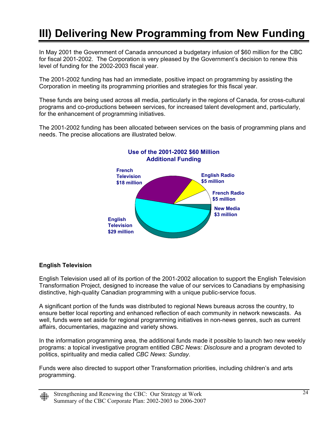## **III) Delivering New Programming from New Funding**

In May 2001 the Government of Canada announced a budgetary infusion of \$60 million for the CBC for fiscal 2001-2002. The Corporation is very pleased by the Government's decision to renew this level of funding for the 2002-2003 fiscal year.

The 2001-2002 funding has had an immediate, positive impact on programming by assisting the Corporation in meeting its programming priorities and strategies for this fiscal year.

These funds are being used across all media, particularly in the regions of Canada, for cross-cultural programs and co-productions between services, for increased talent development and, particularly, for the enhancement of programming initiatives.

The 2001-2002 funding has been allocated between services on the basis of programming plans and needs. The precise allocations are illustrated below.



### **English Television**

English Television used all of its portion of the 2001-2002 allocation to support the English Television Transformation Project, designed to increase the value of our services to Canadians by emphasising distinctive, high-quality Canadian programming with a unique public-service focus.

A significant portion of the funds was distributed to regional News bureaus across the country, to ensure better local reporting and enhanced reflection of each community in network newscasts. As well, funds were set aside for regional programming initiatives in non-news genres, such as current affairs, documentaries, magazine and variety shows.

In the information programming area, the additional funds made it possible to launch two new weekly programs: a topical investigative program entitled *CBC News: Disclosure* and a program devoted to politics, spirituality and media called *CBC News: Sunday*.

Funds were also directed to support other Transformation priorities, including children's and arts programming.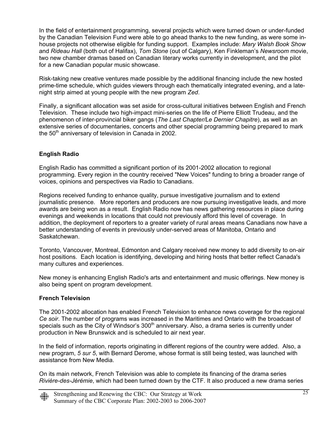In the field of entertainment programming, several projects which were turned down or under-funded by the Canadian Television Fund were able to go ahead thanks to the new funding, as were some inhouse projects not otherwise eligible for funding support. Examples include: *Mary Walsh Book Show* and *Rideau Hall* (both out of Halifax), *Tom Stone* (out of Calgary), Ken Finkleman's *Newsroom* movie, two new chamber dramas based on Canadian literary works currently in development, and the pilot for a new Canadian popular music showcase.

Risk-taking new creative ventures made possible by the additional financing include the new hosted prime-time schedule, which guides viewers through each thematically integrated evening, and a latenight strip aimed at young people with the new program *Zed*.

Finally, a significant allocation was set aside for cross-cultural initiatives between English and French Television. These include two high-impact mini-series on the life of Pierre Elliott Trudeau, and the phenomenon of inter-provincial biker gangs (*The Last Chapter/Le Dernier Chapitre*), as well as an extensive series of documentaries, concerts and other special programming being prepared to mark the 50<sup>th</sup> anniversary of television in Canada in 2002.

### **English Radio**

English Radio has committed a significant portion of its 2001-2002 allocation to regional programming. Every region in the country received "New Voices" funding to bring a broader range of voices, opinions and perspectives via Radio to Canadians.

Regions received funding to enhance quality, pursue investigative journalism and to extend journalistic presence. More reporters and producers are now pursuing investigative leads, and more awards are being won as a result. English Radio now has news gathering resources in place during evenings and weekends in locations that could not previously afford this level of coverage. In addition, the deployment of reporters to a greater variety of rural areas means Canadians now have a better understanding of events in previously under-served areas of Manitoba, Ontario and Saskatchewan.

Toronto, Vancouver, Montreal, Edmonton and Calgary received new money to add diversity to on-air host positions. Each location is identifying, developing and hiring hosts that better reflect Canada's many cultures and experiences.

New money is enhancing English Radio's arts and entertainment and music offerings. New money is also being spent on program development.

### **French Television**

The 2001-2002 allocation has enabled French Television to enhance news coverage for the regional *Ce soir*. The number of programs was increased in the Maritimes and Ontario with the broadcast of specials such as the City of Windsor's  $300<sup>th</sup>$  anniversary. Also, a drama series is currently under production in New Brunswick and is scheduled to air next year.

In the field of information, reports originating in different regions of the country were added. Also, a new program, *5 sur 5*, with Bernard Derome, whose format is still being tested, was launched with assistance from New Media.

On its main network, French Television was able to complete its financing of the drama series *Rivière-des-Jérémie*, which had been turned down by the CTF. It also produced a new drama series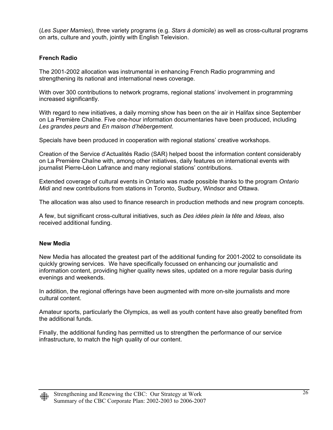(*Les Super Mamies*), three variety programs (e.g. *Stars à domicile*) as well as cross-cultural programs on arts, culture and youth, jointly with English Television.

## **French Radio**

The 2001-2002 allocation was instrumental in enhancing French Radio programming and strengthening its national and international news coverage.

With over 300 contributions to network programs, regional stations' involvement in programming increased significantly.

With regard to new initiatives, a daily morning show has been on the air in Halifax since September on La Première Chaîne. Five one-hour information documentaries have been produced, including *Les grandes peurs* and *En maison d'hébergement*.

Specials have been produced in cooperation with regional stations' creative workshops.

Creation of the Service d'Actualités Radio (SAR) helped boost the information content considerably on La Première Chaîne with, among other initiatives, daily features on international events with journalist Pierre-Léon Lafrance and many regional stations' contributions.

Extended coverage of cultural events in Ontario was made possible thanks to the program *Ontario Midi* and new contributions from stations in Toronto, Sudbury, Windsor and Ottawa.

The allocation was also used to finance research in production methods and new program concepts.

A few, but significant cross-cultural initiatives, such as *Des idées plein la tête* and *Ideas,* also received additional funding.

#### **New Media**

New Media has allocated the greatest part of the additional funding for 2001-2002 to consolidate its quickly growing services. We have specifically focussed on enhancing our journalistic and information content, providing higher quality news sites, updated on a more regular basis during evenings and weekends.

In addition, the regional offerings have been augmented with more on-site journalists and more cultural content.

Amateur sports, particularly the Olympics, as well as youth content have also greatly benefited from the additional funds.

Finally, the additional funding has permitted us to strengthen the performance of our service infrastructure, to match the high quality of our content.

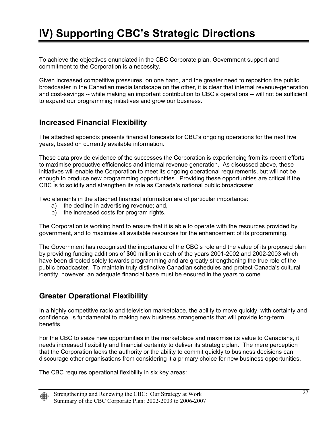To achieve the objectives enunciated in the CBC Corporate plan, Government support and commitment to the Corporation is a necessity.

Given increased competitive pressures, on one hand, and the greater need to reposition the public broadcaster in the Canadian media landscape on the other, it is clear that internal revenue-generation and cost-savings -- while making an important contribution to CBC's operations -- will not be sufficient to expand our programming initiatives and grow our business.

## **Increased Financial Flexibility**

The attached appendix presents financial forecasts for CBC's ongoing operations for the next five years, based on currently available information.

These data provide evidence of the successes the Corporation is experiencing from its recent efforts to maximise productive efficiencies and internal revenue generation. As discussed above, these initiatives will enable the Corporation to meet its ongoing operational requirements, but will not be enough to produce new programming opportunities. Providing these opportunities are critical if the CBC is to solidify and strengthen its role as Canada's national public broadcaster.

Two elements in the attached financial information are of particular importance:

- a) the decline in advertising revenue; and,
- b) the increased costs for program rights.

The Corporation is working hard to ensure that it is able to operate with the resources provided by government, and to maximise all available resources for the enhancement of its programming.

The Government has recognised the importance of the CBC's role and the value of its proposed plan by providing funding additions of \$60 million in each of the years 2001-2002 and 2002-2003 which have been directed solely towards programming and are greatly strengthening the true role of the public broadcaster. To maintain truly distinctive Canadian schedules and protect Canada's cultural identity, however, an adequate financial base must be ensured in the years to come.

## **Greater Operational Flexibility**

In a highly competitive radio and television marketplace, the ability to move quickly, with certainty and confidence, is fundamental to making new business arrangements that will provide long-term benefits.

For the CBC to seize new opportunities in the marketplace and maximise its value to Canadians, it needs increased flexibility and financial certainty to deliver its strategic plan. The mere perception that the Corporation lacks the authority or the ability to commit quickly to business decisions can discourage other organisations from considering it a primary choice for new business opportunities.

The CBC requires operational flexibility in six key areas: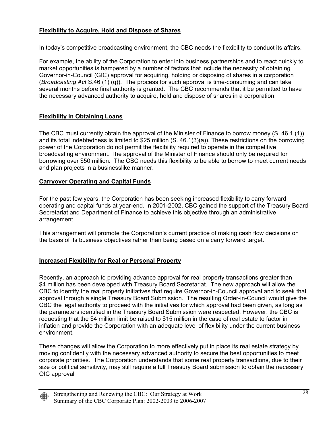## **Flexibility to Acquire, Hold and Dispose of Shares**

In today's competitive broadcasting environment, the CBC needs the flexibility to conduct its affairs.

For example, the ability of the Corporation to enter into business partnerships and to react quickly to market opportunities is hampered by a number of factors that include the necessity of obtaining Governor-in-Council (GIC) approval for acquiring, holding or disposing of shares in a corporation (*Broadcasting Act* S.46 (1) (q)). The process for such approval is time-consuming and can take several months before final authority is granted. The CBC recommends that it be permitted to have the necessary advanced authority to acquire, hold and dispose of shares in a corporation.

#### **Flexibility in Obtaining Loans**

The CBC must currently obtain the approval of the Minister of Finance to borrow money (S. 46.1 (1)) and its total indebtedness is limited to \$25 million (S. 46.1(3)(a)). These restrictions on the borrowing power of the Corporation do not permit the flexibility required to operate in the competitive broadcasting environment. The approval of the Minister of Finance should only be required for borrowing over \$50 million. The CBC needs this flexibility to be able to borrow to meet current needs and plan projects in a businesslike manner.

#### **Carryover Operating and Capital Funds**

For the past few years, the Corporation has been seeking increased flexibility to carry forward operating and capital funds at year-end. In 2001-2002, CBC gained the support of the Treasury Board Secretariat and Department of Finance to achieve this objective through an administrative arrangement.

This arrangement will promote the Corporation's current practice of making cash flow decisions on the basis of its business objectives rather than being based on a carry forward target.

### **Increased Flexibility for Real or Personal Property**

Recently, an approach to providing advance approval for real property transactions greater than \$4 million has been developed with Treasury Board Secretariat. The new approach will allow the CBC to identify the real property initiatives that require Governor-in-Council approval and to seek that approval through a single Treasury Board Submission. The resulting Order-in-Council would give the CBC the legal authority to proceed with the initiatives for which approval had been given, as long as the parameters identified in the Treasury Board Submission were respected. However, the CBC is requesting that the \$4 million limit be raised to \$15 million in the case of real estate to factor in inflation and provide the Corporation with an adequate level of flexibility under the current business environment.

These changes will allow the Corporation to more effectively put in place its real estate strategy by moving confidently with the necessary advanced authority to secure the best opportunities to meet corporate priorities. The Corporation understands that some real property transactions, due to their size or political sensitivity, may still require a full Treasury Board submission to obtain the necessary OIC approval

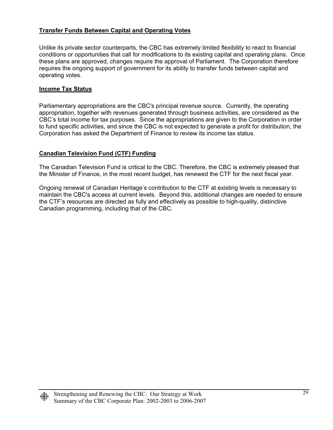## **Transfer Funds Between Capital and Operating Votes**

Unlike its private sector counterparts, the CBC has extremely limited flexibility to react to financial conditions or opportunities that call for modifications to its existing capital and operating plans. Once these plans are approved, changes require the approval of Parliament. The Corporation therefore requires the ongoing support of government for its ability to transfer funds between capital and operating votes.

### **Income Tax Status**

Parliamentary appropriations are the CBC's principal revenue source. Currently, the operating appropriation, together with revenues generated through business activities, are considered as the CBC's total income for tax purposes. Since the appropriations are given to the Corporation in order to fund specific activities, and since the CBC is not expected to generate a profit for distribution, the Corporation has asked the Department of Finance to review its income tax status.

## **Canadian Television Fund (CTF) Funding**

The Canadian Television Fund is critical to the CBC. Therefore, the CBC is extremely pleased that the Minister of Finance, in the most recent budget, has renewed the CTF for the next fiscal year.

Ongoing renewal of Canadian Heritage's contribution to the CTF at existing levels is necessary to maintain the CBC's access at current levels. Beyond this, additional changes are needed to ensure the CTF's resources are directed as fully and effectively as possible to high-quality, distinctive Canadian programming, including that of the CBC.

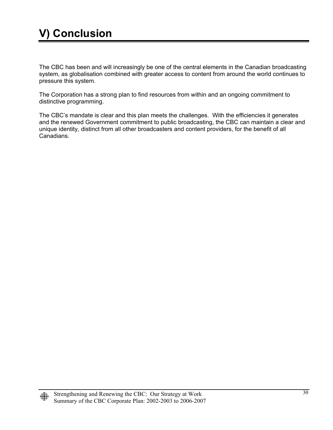## **V) Conclusion**

The CBC has been and will increasingly be one of the central elements in the Canadian broadcasting system, as globalisation combined with greater access to content from around the world continues to pressure this system.

The Corporation has a strong plan to find resources from within and an ongoing commitment to distinctive programming.

The CBC's mandate is clear and this plan meets the challenges. With the efficiencies it generates and the renewed Government commitment to public broadcasting, the CBC can maintain a clear and unique identity, distinct from all other broadcasters and content providers, for the benefit of all Canadians.

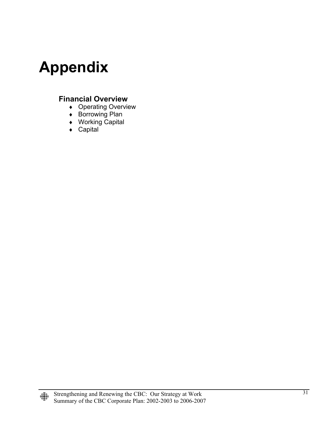# **Appendix**

## **Financial Overview**

- ♦ Operating Overview
- ◆ Borrowing Plan
- ♦ Working Capital
- ♦ Capital

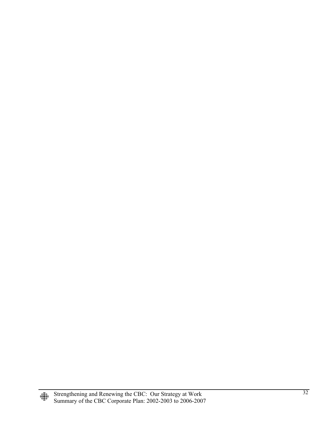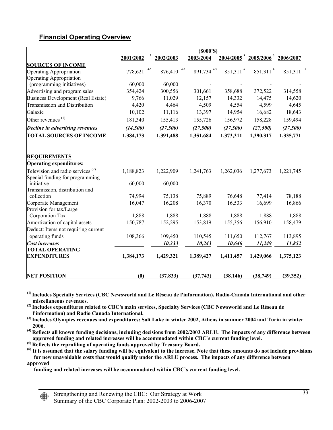## **Financial Operating Overview**

|                                                                                              | (S000'S)  |         |           |            |                        |                          |           |
|----------------------------------------------------------------------------------------------|-----------|---------|-----------|------------|------------------------|--------------------------|-----------|
|                                                                                              | 2001/2002 |         | 2002/2003 | 2003/2004  | 2004/2005              | $2005/2006$ <sup>3</sup> | 2006/2007 |
| <b>SOURCES OF INCOME</b>                                                                     |           |         |           |            |                        |                          |           |
| <b>Operating Appropriation</b>                                                               | 778,621   | $4 - 5$ | 876,410   | 891,734 45 | $851,311$ <sup>6</sup> | $851,311$ <sup>6</sup>   | 851,311   |
| <b>Operating Appropriation</b>                                                               |           |         |           |            |                        |                          |           |
| (programming initiatives)                                                                    | 60,000    |         | 60,000    |            |                        |                          |           |
| Advertising and program sales                                                                | 354,424   |         | 300,556   | 301,661    | 358,688                | 372,522                  | 314,558   |
| <b>Business Development (Real Estate)</b>                                                    | 9,766     |         | 11,029    | 12,157     | 14,332                 | 14,475                   | 14,620    |
| Transmission and Distribution                                                                | 4,420     |         | 4,464     | 4,509      | 4,554                  | 4,599                    | 4,645     |
| Galaxie                                                                                      | 10,102    |         | 11,116    | 13,397     | 14,954                 | 16,682                   | 18,643    |
| Other revenues $(1)$                                                                         | 181,340   |         | 155,413   | 155,726    | 156,972                | 158,228                  | 159,494   |
| Decline in advertising revenues                                                              | (14, 500) |         | (27,500)  | (27,500)   | (27,500)               | (27,500)                 | (27,500)  |
| <b>TOTAL SOURCES OF INCOME</b>                                                               | 1,384,173 |         | 1,391,488 | 1,351,684  | 1,373,311              | 1,390,317                | 1,335,771 |
| <b>REQUIREMENTS</b>                                                                          |           |         |           |            |                        |                          |           |
| <b>Operating expenditures:</b>                                                               |           |         |           |            |                        |                          |           |
| Television and radio services <sup><math>(2)</math></sup><br>Special funding for programming | 1,188,823 |         | 1,222,909 | 1,241,763  | 1,262,036              | 1,277,673                | 1,221,745 |
| initiative                                                                                   | 60,000    |         | 60,000    |            |                        |                          |           |
| Transmission, distribution and                                                               |           |         |           |            |                        |                          |           |
| collection                                                                                   | 74,994    |         | 75,138    | 75,889     | 76,648                 | 77,414                   | 78,188    |
| Corporate Management                                                                         | 16,047    |         | 16,208    | 16,370     | 16,533                 | 16,699                   | 16,866    |
| Provision for tax/Large                                                                      |           |         |           |            |                        |                          |           |
| Corporation Tax                                                                              | 1,888     |         | 1,888     | 1,888      | 1,888                  | 1,888                    | 1,888     |
| Amortization of capital assets                                                               | 150,787   |         | 152,295   | 153,819    | 155,356                | 156,910                  | 158,479   |
| Deduct: Items not requiring current                                                          |           |         |           |            |                        |                          |           |
| operating funds                                                                              | 108,366   |         | 109,450   | 110,545    | 111,650                | 112,767                  | 113,895   |
| <b>Cost increases</b><br><b>TOTAL OPERATING</b>                                              |           |         | 10,333    | 10,243     | 10,646                 | 11,249                   | 11,852    |
| <b>EXPENDITURES</b>                                                                          | 1,384,173 |         | 1,429,321 | 1,389,427  | 1,411,457              | 1,429,066                | 1,375,123 |
| <b>NET POSITION</b>                                                                          | (0)       |         | (37, 833) | (37,743)   | (38, 146)              | (38, 749)                | (39, 352) |

**(1) Includes Specialty Services (CBC Newsworld and Le Réseau de l'information), Radio-Canada International and other miscellaneous revenues.** 

**(2) Includes expenditures related to CBC's main services, Specialty Services (CBC Newsworld and Le Réseau de l'information) and Radio Canada International.** 

**(3) Includes Olympics revenues and expenditures: Salt Lake in winter 2002, Athens in summer 2004 and Turin in winter 2006.** 

**(4) Reflects all known funding decisions, including decisions from 2002/2003 ARLU. The impacts of any difference between approved funding and related increases will be accommodated within CBC`s current funding level.** 

**(5) Reflects the reprofiling of operating funds approved by Treasury Board.** 

**(6) It is assumed that the salary funding will be equivalent to the increase. Note that these amounts do not include provisions for new unavoidable costs that would qualify under the ARLU process. The impacts of any difference between** 

**approved** 

 **funding and related increases will be accommodated within CBC`s current funding level.**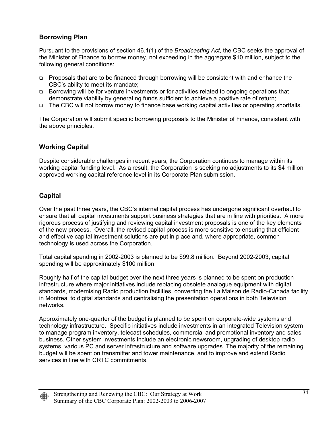## **Borrowing Plan**

Pursuant to the provisions of section 46.1(1) of the *Broadcasting Act*, the CBC seeks the approval of the Minister of Finance to borrow money, not exceeding in the aggregate \$10 million, subject to the following general conditions:

- Proposals that are to be financed through borrowing will be consistent with and enhance the CBC's ability to meet its mandate;
- Borrowing will be for venture investments or for activities related to ongoing operations that demonstrate viability by generating funds sufficient to achieve a positive rate of return;
- The CBC will not borrow money to finance base working capital activities or operating shortfalls.

The Corporation will submit specific borrowing proposals to the Minister of Finance, consistent with the above principles.

## **Working Capital**

Despite considerable challenges in recent years, the Corporation continues to manage within its working capital funding level. As a result, the Corporation is seeking no adjustments to its \$4 million approved working capital reference level in its Corporate Plan submission.

## **Capital**

Over the past three years, the CBC's internal capital process has undergone significant overhaul to ensure that all capital investments support business strategies that are in line with priorities. A more rigorous process of justifying and reviewing capital investment proposals is one of the key elements of the new process. Overall, the revised capital process is more sensitive to ensuring that efficient and effective capital investment solutions are put in place and, where appropriate, common technology is used across the Corporation.

Total capital spending in 2002-2003 is planned to be \$99.8 million. Beyond 2002-2003, capital spending will be approximately \$100 million.

Roughly half of the capital budget over the next three years is planned to be spent on production infrastructure where major initiatives include replacing obsolete analogue equipment with digital standards, modernising Radio production facilities, converting the La Maison de Radio-Canada facility in Montreal to digital standards and centralising the presentation operations in both Television networks.

Approximately one-quarter of the budget is planned to be spent on corporate-wide systems and technology infrastructure. Specific initiatives include investments in an integrated Television system to manage program inventory, telecast schedules, commercial and promotional inventory and sales business. Other system investments include an electronic newsroom, upgrading of desktop radio systems, various PC and server infrastructure and software upgrades. The majority of the remaining budget will be spent on transmitter and tower maintenance, and to improve and extend Radio services in line with CRTC commitments.